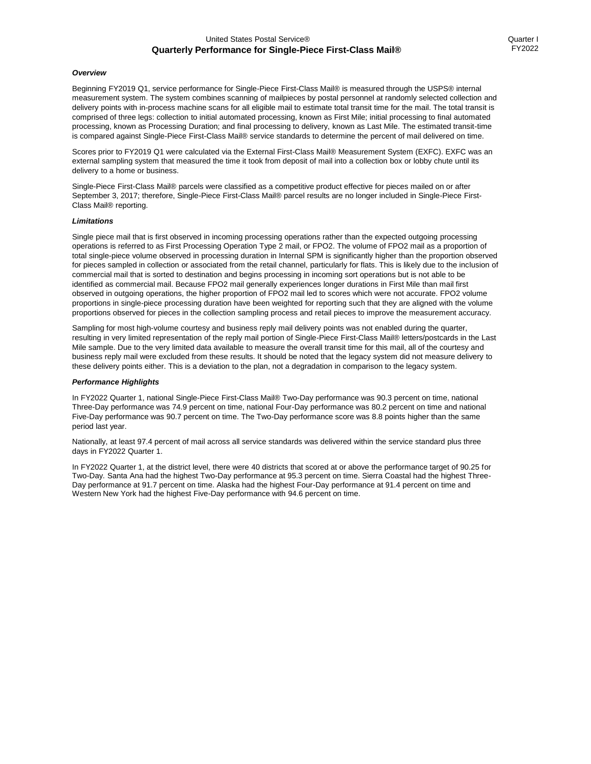### United States Postal Service® **Quarterly Performance for Single-Piece First-Class Mail®**

### *Overview*

Beginning FY2019 Q1, service performance for Single-Piece First-Class Mail® is measured through the USPS® internal measurement system. The system combines scanning of mailpieces by postal personnel at randomly selected collection and delivery points with in-process machine scans for all eligible mail to estimate total transit time for the mail. The total transit is comprised of three legs: collection to initial automated processing, known as First Mile; initial processing to final automated processing, known as Processing Duration; and final processing to delivery, known as Last Mile. The estimated transit-time is compared against Single-Piece First-Class Mail® service standards to determine the percent of mail delivered on time.

Scores prior to FY2019 Q1 were calculated via the External First-Class Mail® Measurement System (EXFC). EXFC was an external sampling system that measured the time it took from deposit of mail into a collection box or lobby chute until its delivery to a home or business.

Single-Piece First-Class Mail® parcels were classified as a competitive product effective for pieces mailed on or after September 3, 2017; therefore, Single-Piece First-Class Mail® parcel results are no longer included in Single-Piece First-Class Mail® reporting.

#### *Limitations*

Single piece mail that is first observed in incoming processing operations rather than the expected outgoing processing operations is referred to as First Processing Operation Type 2 mail, or FPO2. The volume of FPO2 mail as a proportion of total single-piece volume observed in processing duration in Internal SPM is significantly higher than the proportion observed for pieces sampled in collection or associated from the retail channel, particularly for flats. This is likely due to the inclusion of commercial mail that is sorted to destination and begins processing in incoming sort operations but is not able to be identified as commercial mail. Because FPO2 mail generally experiences longer durations in First Mile than mail first observed in outgoing operations, the higher proportion of FPO2 mail led to scores which were not accurate. FPO2 volume proportions in single-piece processing duration have been weighted for reporting such that they are aligned with the volume proportions observed for pieces in the collection sampling process and retail pieces to improve the measurement accuracy.

Sampling for most high-volume courtesy and business reply mail delivery points was not enabled during the quarter, resulting in very limited representation of the reply mail portion of Single-Piece First-Class Mail® letters/postcards in the Last Mile sample. Due to the very limited data available to measure the overall transit time for this mail, all of the courtesy and business reply mail were excluded from these results. It should be noted that the legacy system did not measure delivery to these delivery points either. This is a deviation to the plan, not a degradation in comparison to the legacy system.

#### *Performance Highlights*

In FY2022 Quarter 1, national Single-Piece First-Class Mail® Two-Day performance was 90.3 percent on time, national Three-Day performance was 74.9 percent on time, national Four-Day performance was 80.2 percent on time and national Five-Day performance was 90.7 percent on time. The Two-Day performance score was 8.8 points higher than the same period last year.

Nationally, at least 97.4 percent of mail across all service standards was delivered within the service standard plus three days in FY2022 Quarter 1.

In FY2022 Quarter 1, at the district level, there were 40 districts that scored at or above the performance target of 90.25 for Two-Day. Santa Ana had the highest Two-Day performance at 95.3 percent on time. Sierra Coastal had the highest Three-Day performance at 91.7 percent on time. Alaska had the highest Four-Day performance at 91.4 percent on time and Western New York had the highest Five-Day performance with 94.6 percent on time.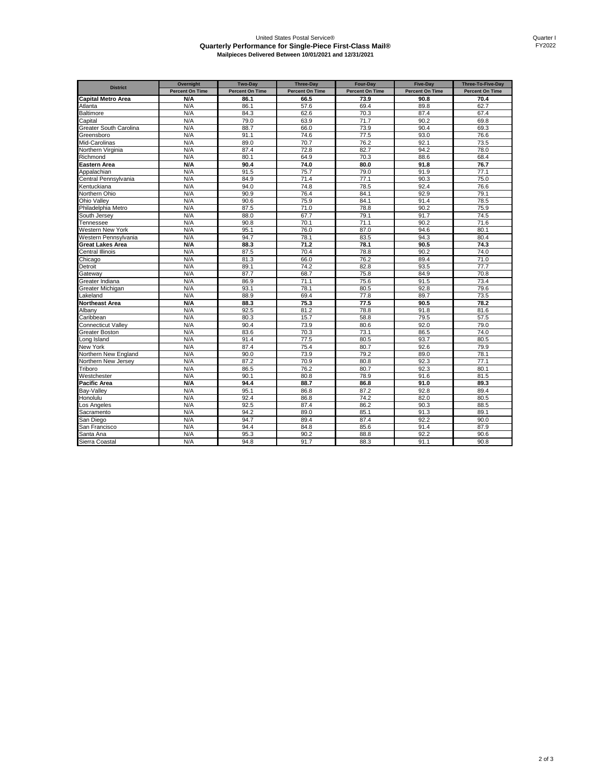# United States Postal Service® **Quarterly Performance for Single-Piece First-Class Mail® Mailpieces Delivered Between 10/01/2021 and 12/31/2021**

| <b>District</b>               | Overnight              | Two-Day                | <b>Three-Day</b>       | Four-Day               | <b>Five-Day</b>        | Three-To-Five-Day      |
|-------------------------------|------------------------|------------------------|------------------------|------------------------|------------------------|------------------------|
|                               | <b>Percent On Time</b> | <b>Percent On Time</b> | <b>Percent On Time</b> | <b>Percent On Time</b> | <b>Percent On Time</b> | <b>Percent On Time</b> |
| <b>Capital Metro Area</b>     | N/A                    | 86.1                   | 66.5                   | 73.9                   | 90.8                   | 70.4                   |
| Atlanta                       | N/A                    | 86.1                   | 57.6                   | 69.4                   | 89.8                   | 62.7                   |
| Baltimore                     | N/A                    | 84.3                   | 62.6                   | 70.3                   | 87.4                   | 67.4                   |
| Capital                       | N/A                    | 79.0                   | 63.9                   | 71.7                   | 90.2                   | 69.8                   |
| <b>Greater South Carolina</b> | N/A                    | 88.7                   | 66.0                   | 73.9                   | 90.4                   | 69.3                   |
| Greensboro                    | N/A                    | 91.1                   | 74.6                   | 77.5                   | 93.0                   | 76.6                   |
| Mid-Carolinas                 | N/A                    | 89.0                   | 70.7                   | 76.2                   | 92.1                   | 73.5                   |
| <b>Northern Virginia</b>      | N/A                    | 87.4                   | 72.8                   | 82.7                   | 94.2                   | 78.0                   |
| Richmond                      | N/A                    | 80.1                   | 64.9                   | 70.3                   | 88.6                   | 68.4                   |
| Eastern Area                  | N/A                    | 90.4                   | 74.0                   | 80.0                   | 91.8                   | 76.7                   |
| Appalachian                   | N/A                    | 91.5                   | 75.7                   | 79.0                   | 91.9                   | 77.1                   |
| Central Pennsylvania          | N/A                    | 84.9                   | 71.4                   | 77.1                   | 90.3                   | 75.0                   |
| Kentuckiana                   | N/A                    | 94.0                   | 74.8                   | 78.5                   | 92.4                   | 76.6                   |
| <b>Northern Ohio</b>          | N/A                    | 90.9                   | 76.4                   | 84.1                   | 92.9                   | 79.1                   |
| Ohio Vallev                   | N/A                    | 90.6                   | 75.9                   | 84.1                   | 91.4                   | 78.5                   |
| Philadelphia Metro            | N/A                    | 87.5                   | 71.0                   | 78.8                   | 90.2                   | 75.9                   |
| South Jersev                  | N/A                    | 88.0                   | 67.7                   | 79.1                   | 91.7                   | 74.5                   |
| Tennessee                     | N/A                    | 90.8                   | 70.1                   | 71.1                   | 90.2                   | 71.6                   |
| Western New York              | N/A                    | 95.1                   | 76.0                   | 87.0                   | 94.6                   | 80.1                   |
| Western Pennsylvania          | N/A                    | 94.7                   | 78.1                   | 83.5                   | 94.3                   | 80.4                   |
| <b>Great Lakes Area</b>       | N/A                    | 88.3                   | 71.2                   | 78.1                   | 90.5                   | 74.3                   |
| Central Illinois              | N/A                    | 87.5                   | 70.4                   | 78.8                   | 90.2                   | 74.0                   |
| Chicago                       | N/A                    | 81.3                   | 66.0                   | 76.2                   | 89.4                   | 71.0                   |
| Detroit                       | N/A                    | 89.1                   | 74.2                   | 82.8                   | 93.5                   | 77.7                   |
| Gateway                       | N/A                    | 87.7                   | 68.7                   | 75.8                   | 84.9                   | 70.8                   |
| Greater Indiana               | N/A                    | 86.9                   | 71.1                   | 75.6                   | 91.5                   | 73.4                   |
| Greater Michigan              | N/A                    | 93.1                   | 78.1                   | 80.5                   | 92.8                   | 79.6                   |
| _akeland                      | N/A                    | 88.9                   | 69.4                   | 77.8                   | 89.7                   | 73.5                   |
| Northeast Area                | N/A                    | 88.3                   | 75.3                   | 77.5                   | 90.5                   | 78.2                   |
| Albany                        | N/A                    | 92.5                   | 81.2                   | 78.8                   | 91.8                   | 81.6                   |
| Caribbean                     | N/A                    | 80.3                   | 15.7                   | 58.8                   | 79.5                   | 57.5                   |
| Connecticut Valley            | N/A                    | 90.4                   | 73.9                   | 80.6                   | 92.0                   | 79.0                   |
| <b>Greater Boston</b>         | N/A                    | 83.6                   | 70.3                   | 73.1                   | 86.5                   | 74.0                   |
| ong Island                    | N/A                    | 91.4                   | 77.5                   | 80.5                   | 93.7                   | 80.5                   |
| <b>New York</b>               | N/A                    | 87.4                   | 75.4                   | 80.7                   | 92.6                   | 79.9                   |
| <b>Northern New England</b>   | N/A                    | 90.0                   | 73.9                   | 79.2                   | 89.0                   | 78.1                   |
| <b>Northern New Jersey</b>    | N/A                    | 87.2                   | 70.9                   | 80.8                   | 92.3                   | 77.1                   |
| Triboro                       | N/A<br>N/A             | 86.5<br>90.1           | 76.2<br>80.8           | 80.7<br>78.9           | 92.3<br>91.6           | 80.1<br>81.5           |
| Nestchester<br>Pacific Area   | N/A                    | 94.4                   | 88.7                   | 86.8                   | 91.0                   | 89.3                   |
|                               | N/A                    | 95.1                   | 86.8                   | 87.2                   | 92.8                   | 89.4                   |
| Bay-Valley                    | N/A                    | 92.4                   |                        | 74.2                   | 82.0                   | 80.5                   |
| Honolulu                      | N/A                    |                        | 86.8<br>87.4           |                        | 90.3                   |                        |
| Los Angeles                   | N/A                    | 92.5<br>94.2           | 89.0                   | 86.2<br>85.1           | 91.3                   | 88.5<br>89.1           |
| Sacramento<br>San Diego       | N/A                    | 94.7                   | 89.4                   | 87.4                   | 92.2                   | 90.0                   |
| San Francisco                 | N/A                    | 94.4                   | 84.8                   | 85.6                   | 91.4                   | 87.9                   |
| Santa Ana                     | N/A                    | 95.3                   | 90.2                   | 88.8                   | 92.2                   | 90.6                   |
|                               | N/A                    | 94.8                   | 91.7                   | 88.3                   | 91.1                   | 90.8                   |
| Sierra Coastal                |                        |                        |                        |                        |                        |                        |